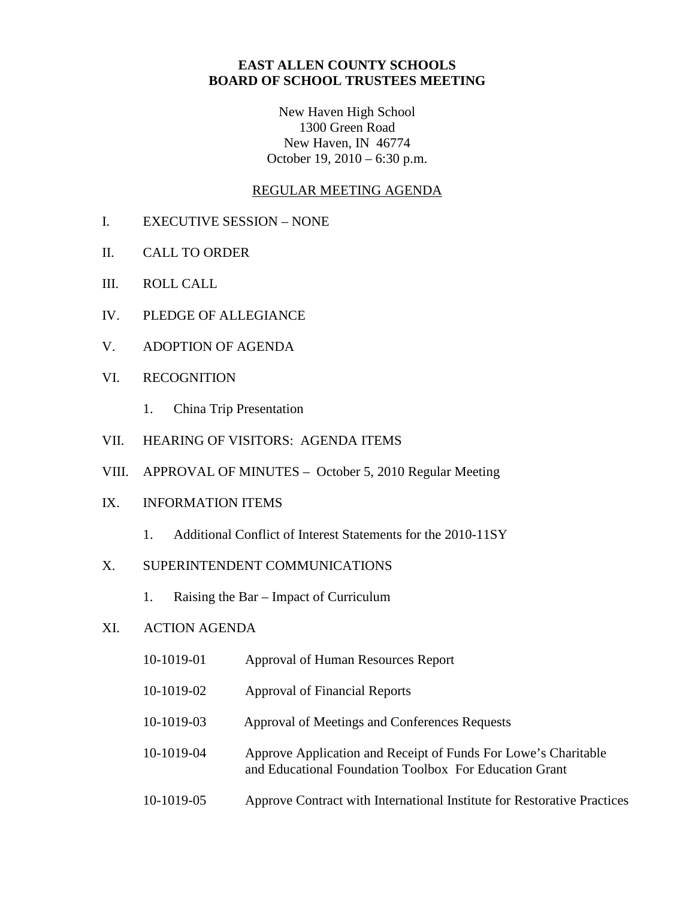# **EAST ALLEN COUNTY SCHOOLS BOARD OF SCHOOL TRUSTEES MEETING**

New Haven High School 1300 Green Road New Haven, IN 46774 October 19, 2010 – 6:30 p.m.

## REGULAR MEETING AGENDA

- I. EXECUTIVE SESSION NONE
- II. CALL TO ORDER
- III. ROLL CALL
- IV. PLEDGE OF ALLEGIANCE
- V. ADOPTION OF AGENDA
- VI. RECOGNITION
	- 1. China Trip Presentation
- VII. HEARING OF VISITORS: AGENDA ITEMS
- VIII. APPROVAL OF MINUTES October 5, 2010 Regular Meeting

# IX. INFORMATION ITEMS

1. Additional Conflict of Interest Statements for the 2010-11SY

## X. SUPERINTENDENT COMMUNICATIONS

1. Raising the Bar – Impact of Curriculum

## XI. ACTION AGENDA

- 10-1019-01 Approval of Human Resources Report
- 10-1019-02 Approval of Financial Reports
- 10-1019-03 Approval of Meetings and Conferences Requests
- 10-1019-04 Approve Application and Receipt of Funds For Lowe's Charitable and Educational Foundation Toolbox For Education Grant
- 10-1019-05 Approve Contract with International Institute for Restorative Practices